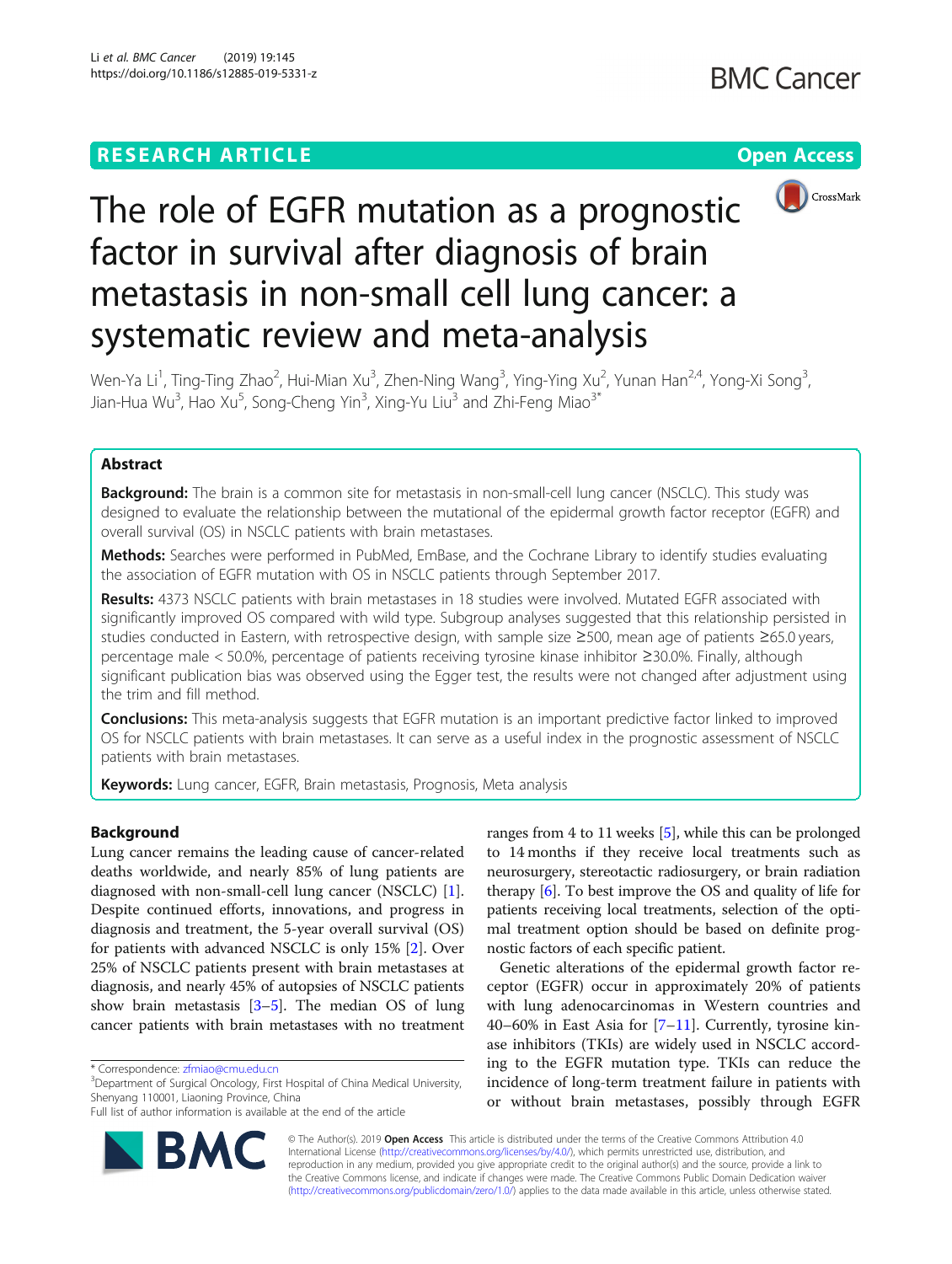## **RESEARCH ARTICLE Example 2014 12:30 The Contract of Contract ACCESS**





# The role of EGFR mutation as a prognostic factor in survival after diagnosis of brain metastasis in non-small cell lung cancer: a systematic review and meta-analysis

Wen-Ya Li<sup>1</sup>, Ting-Ting Zhao<sup>2</sup>, Hui-Mian Xu<sup>3</sup>, Zhen-Ning Wang<sup>3</sup>, Ying-Ying Xu<sup>2</sup>, Yunan Han<sup>2,4</sup>, Yong-Xi Song<sup>3</sup> , Jian-Hua Wu<sup>3</sup>, Hao Xu<sup>5</sup>, Song-Cheng Yin<sup>3</sup>, Xing-Yu Liu<sup>3</sup> and Zhi-Feng Miao<sup>3\*</sup>

## Abstract

Background: The brain is a common site for metastasis in non-small-cell lung cancer (NSCLC). This study was designed to evaluate the relationship between the mutational of the epidermal growth factor receptor (EGFR) and overall survival (OS) in NSCLC patients with brain metastases.

Methods: Searches were performed in PubMed, EmBase, and the Cochrane Library to identify studies evaluating the association of EGFR mutation with OS in NSCLC patients through September 2017.

Results: 4373 NSCLC patients with brain metastases in 18 studies were involved. Mutated EGFR associated with significantly improved OS compared with wild type. Subgroup analyses suggested that this relationship persisted in studies conducted in Eastern, with retrospective design, with sample size ≥500, mean age of patients ≥65.0 years, percentage male < 50.0%, percentage of patients receiving tyrosine kinase inhibitor ≥30.0%. Finally, although significant publication bias was observed using the Egger test, the results were not changed after adjustment using the trim and fill method.

**Conclusions:** This meta-analysis suggests that EGFR mutation is an important predictive factor linked to improved OS for NSCLC patients with brain metastases. It can serve as a useful index in the prognostic assessment of NSCLC patients with brain metastases.

Keywords: Lung cancer, EGFR, Brain metastasis, Prognosis, Meta analysis

## Background

Lung cancer remains the leading cause of cancer-related deaths worldwide, and nearly 85% of lung patients are diagnosed with non-small-cell lung cancer (NSCLC) [\[1](#page-7-0)]. Despite continued efforts, innovations, and progress in diagnosis and treatment, the 5-year overall survival (OS) for patients with advanced NSCLC is only 15% [[2\]](#page-7-0). Over 25% of NSCLC patients present with brain metastases at diagnosis, and nearly 45% of autopsies of NSCLC patients show brain metastasis  $[3-5]$  $[3-5]$  $[3-5]$  $[3-5]$  $[3-5]$ . The median OS of lung cancer patients with brain metastases with no treatment

<sup>3</sup>Department of Surgical Oncology, First Hospital of China Medical University, Shenyang 110001, Liaoning Province, China

Full list of author information is available at the end of the article



ranges from 4 to 11 weeks [\[5](#page-7-0)], while this can be prolonged to 14 months if they receive local treatments such as neurosurgery, stereotactic radiosurgery, or brain radiation therapy [[6](#page-7-0)]. To best improve the OS and quality of life for patients receiving local treatments, selection of the optimal treatment option should be based on definite prognostic factors of each specific patient.

Genetic alterations of the epidermal growth factor receptor (EGFR) occur in approximately 20% of patients with lung adenocarcinomas in Western countries and 40–60% in East Asia for  $[7-11]$  $[7-11]$  $[7-11]$  $[7-11]$ . Currently, tyrosine kinase inhibitors (TKIs) are widely used in NSCLC according to the EGFR mutation type. TKIs can reduce the incidence of long-term treatment failure in patients with or without brain metastases, possibly through EGFR

© The Author(s). 2019 Open Access This article is distributed under the terms of the Creative Commons Attribution 4.0 International License [\(http://creativecommons.org/licenses/by/4.0/](http://creativecommons.org/licenses/by/4.0/)), which permits unrestricted use, distribution, and reproduction in any medium, provided you give appropriate credit to the original author(s) and the source, provide a link to the Creative Commons license, and indicate if changes were made. The Creative Commons Public Domain Dedication waiver [\(http://creativecommons.org/publicdomain/zero/1.0/](http://creativecommons.org/publicdomain/zero/1.0/)) applies to the data made available in this article, unless otherwise stated.

<sup>\*</sup> Correspondence: [zfmiao@cmu.edu.cn](mailto:zfmiao@cmu.edu.cn) <sup>3</sup>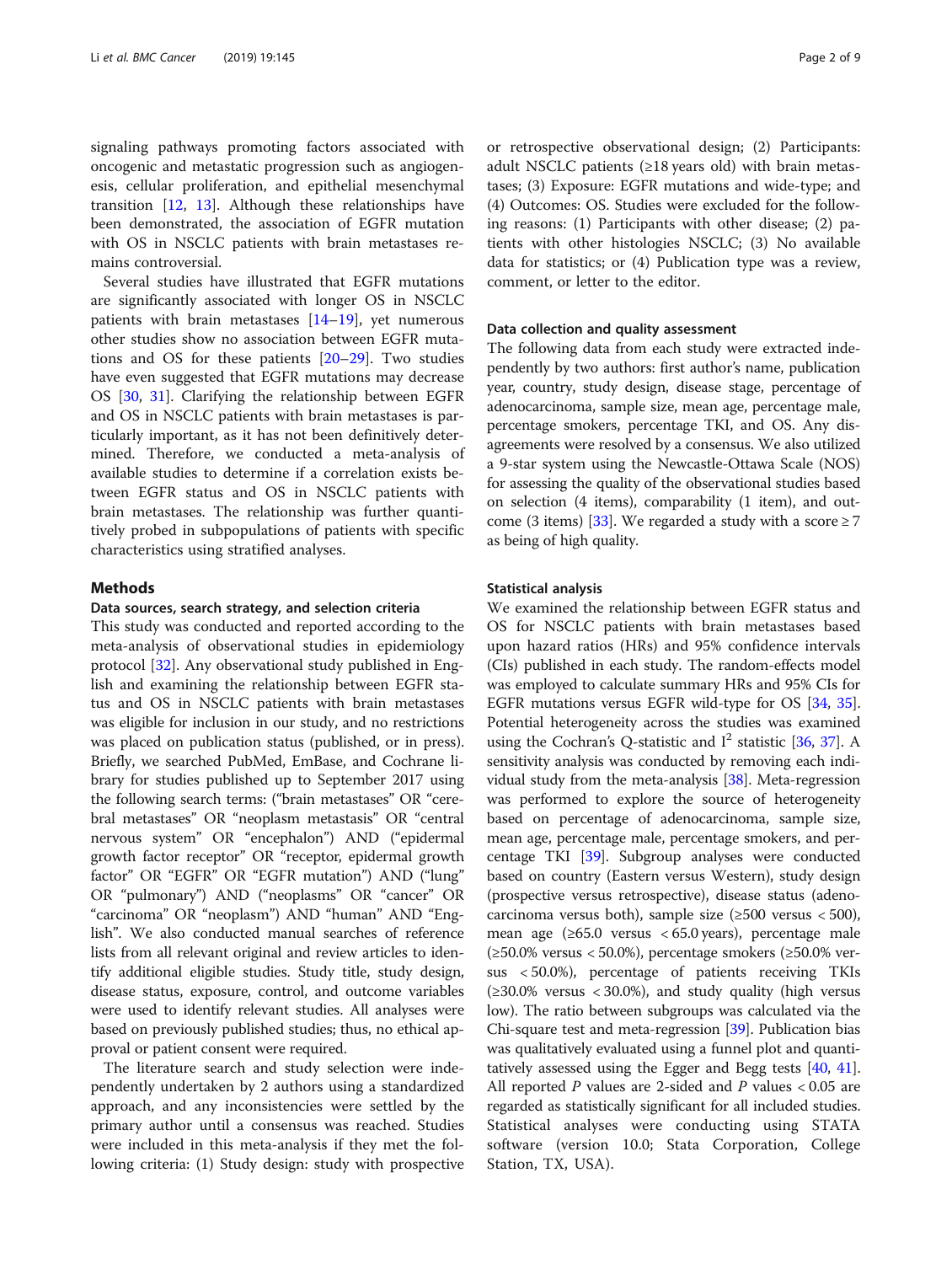signaling pathways promoting factors associated with oncogenic and metastatic progression such as angiogenesis, cellular proliferation, and epithelial mesenchymal transition [[12,](#page-7-0) [13](#page-8-0)]. Although these relationships have been demonstrated, the association of EGFR mutation with OS in NSCLC patients with brain metastases remains controversial.

Several studies have illustrated that EGFR mutations are significantly associated with longer OS in NSCLC patients with brain metastases [[14](#page-8-0)–[19](#page-8-0)], yet numerous other studies show no association between EGFR mutations and OS for these patients [[20](#page-8-0)–[29](#page-8-0)]. Two studies have even suggested that EGFR mutations may decrease OS [\[30,](#page-8-0) [31\]](#page-8-0). Clarifying the relationship between EGFR and OS in NSCLC patients with brain metastases is particularly important, as it has not been definitively determined. Therefore, we conducted a meta-analysis of available studies to determine if a correlation exists between EGFR status and OS in NSCLC patients with brain metastases. The relationship was further quantitively probed in subpopulations of patients with specific characteristics using stratified analyses.

## Methods

## Data sources, search strategy, and selection criteria

This study was conducted and reported according to the meta-analysis of observational studies in epidemiology protocol [\[32](#page-8-0)]. Any observational study published in English and examining the relationship between EGFR status and OS in NSCLC patients with brain metastases was eligible for inclusion in our study, and no restrictions was placed on publication status (published, or in press). Briefly, we searched PubMed, EmBase, and Cochrane library for studies published up to September 2017 using the following search terms: ("brain metastases" OR "cerebral metastases" OR "neoplasm metastasis" OR "central nervous system" OR "encephalon") AND ("epidermal growth factor receptor" OR "receptor, epidermal growth factor" OR "EGFR" OR "EGFR mutation") AND ("lung" OR "pulmonary") AND ("neoplasms" OR "cancer" OR "carcinoma" OR "neoplasm") AND "human" AND "English". We also conducted manual searches of reference lists from all relevant original and review articles to identify additional eligible studies. Study title, study design, disease status, exposure, control, and outcome variables were used to identify relevant studies. All analyses were based on previously published studies; thus, no ethical approval or patient consent were required.

The literature search and study selection were independently undertaken by 2 authors using a standardized approach, and any inconsistencies were settled by the primary author until a consensus was reached. Studies were included in this meta-analysis if they met the following criteria: (1) Study design: study with prospective

or retrospective observational design; (2) Participants: adult NSCLC patients  $(≥18$  years old) with brain metastases; (3) Exposure: EGFR mutations and wide-type; and (4) Outcomes: OS. Studies were excluded for the following reasons: (1) Participants with other disease; (2) patients with other histologies NSCLC; (3) No available data for statistics; or (4) Publication type was a review, comment, or letter to the editor.

## Data collection and quality assessment

The following data from each study were extracted independently by two authors: first author's name, publication year, country, study design, disease stage, percentage of adenocarcinoma, sample size, mean age, percentage male, percentage smokers, percentage TKI, and OS. Any disagreements were resolved by a consensus. We also utilized a 9-star system using the Newcastle-Ottawa Scale (NOS) for assessing the quality of the observational studies based on selection (4 items), comparability (1 item), and out-come (3 items) [\[33\]](#page-8-0). We regarded a study with a score  $\geq 7$ as being of high quality.

#### Statistical analysis

We examined the relationship between EGFR status and OS for NSCLC patients with brain metastases based upon hazard ratios (HRs) and 95% confidence intervals (CIs) published in each study. The random-effects model was employed to calculate summary HRs and 95% CIs for EGFR mutations versus EGFR wild-type for OS [\[34,](#page-8-0) [35](#page-8-0)]. Potential heterogeneity across the studies was examined using the Cochran's Q-statistic and  $I^2$  statistic [\[36,](#page-8-0) [37\]](#page-8-0). A sensitivity analysis was conducted by removing each individual study from the meta-analysis [[38](#page-8-0)]. Meta-regression was performed to explore the source of heterogeneity based on percentage of adenocarcinoma, sample size, mean age, percentage male, percentage smokers, and percentage TKI [\[39\]](#page-8-0). Subgroup analyses were conducted based on country (Eastern versus Western), study design (prospective versus retrospective), disease status (adenocarcinoma versus both), sample size  $(\geq 500 \text{ versus } < 500)$ , mean age  $(\geq 65.0 \text{ versus } < 65.0 \text{ years})$ , percentage male (≥50.0% versus < 50.0%), percentage smokers (≥50.0% versus < 50.0%), percentage of patients receiving TKIs  $(\geq 30.0\% \text{ versus } < 30.0\%)$ , and study quality (high versus low). The ratio between subgroups was calculated via the Chi-square test and meta-regression [[39](#page-8-0)]. Publication bias was qualitatively evaluated using a funnel plot and quantitatively assessed using the Egger and Begg tests [\[40,](#page-8-0) [41](#page-8-0)]. All reported  $P$  values are 2-sided and  $P$  values  $< 0.05$  are regarded as statistically significant for all included studies. Statistical analyses were conducting using STATA software (version 10.0; Stata Corporation, College Station, TX, USA).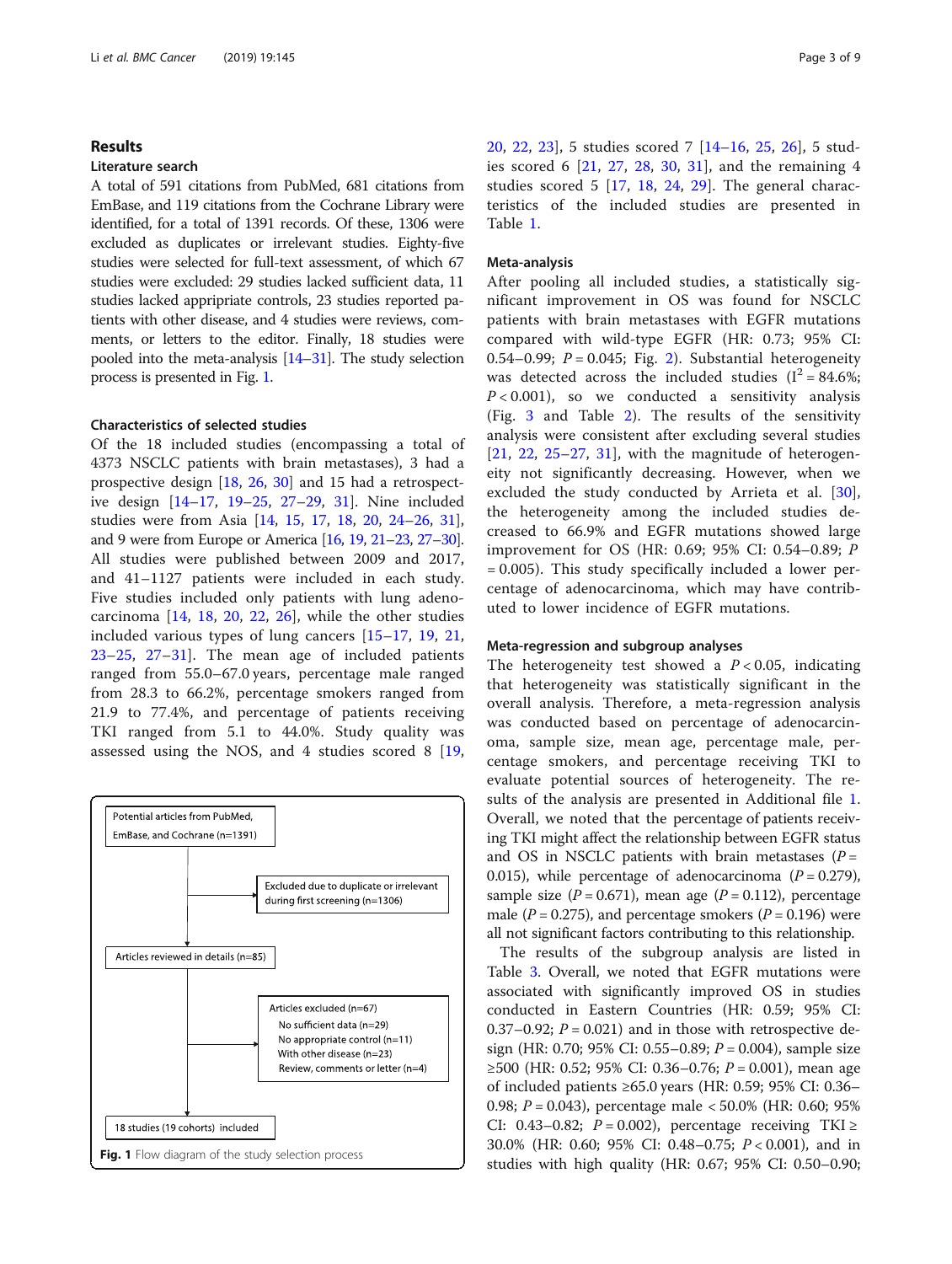## Results

## Literature search

A total of 591 citations from PubMed, 681 citations from EmBase, and 119 citations from the Cochrane Library were identified, for a total of 1391 records. Of these, 1306 were excluded as duplicates or irrelevant studies. Eighty-five studies were selected for full-text assessment, of which 67 studies were excluded: 29 studies lacked sufficient data, 11 studies lacked appripriate controls, 23 studies reported patients with other disease, and 4 studies were reviews, comments, or letters to the editor. Finally, 18 studies were pooled into the meta-analysis [\[14](#page-8-0)–[31\]](#page-8-0). The study selection process is presented in Fig. 1.

## Characteristics of selected studies

Of the 18 included studies (encompassing a total of 4373 NSCLC patients with brain metastases), 3 had a prospective design [[18](#page-8-0), [26](#page-8-0), [30\]](#page-8-0) and 15 had a retrospective design [[14](#page-8-0)–[17](#page-8-0), [19](#page-8-0)–[25,](#page-8-0) [27](#page-8-0)–[29](#page-8-0), [31\]](#page-8-0). Nine included studies were from Asia [\[14](#page-8-0), [15](#page-8-0), [17](#page-8-0), [18,](#page-8-0) [20,](#page-8-0) [24](#page-8-0)–[26,](#page-8-0) [31](#page-8-0)], and 9 were from Europe or America [\[16](#page-8-0), [19](#page-8-0), [21](#page-8-0)–[23](#page-8-0), [27](#page-8-0)–[30\]](#page-8-0). All studies were published between 2009 and 2017, and 41–1127 patients were included in each study. Five studies included only patients with lung adenocarcinoma [\[14](#page-8-0), [18,](#page-8-0) [20,](#page-8-0) [22](#page-8-0), [26\]](#page-8-0), while the other studies included various types of lung cancers [[15](#page-8-0)–[17,](#page-8-0) [19](#page-8-0), [21](#page-8-0), [23](#page-8-0)–[25,](#page-8-0) [27](#page-8-0)–[31](#page-8-0)]. The mean age of included patients ranged from 55.0–67.0 years, percentage male ranged from 28.3 to 66.2%, percentage smokers ranged from 21.9 to 77.4%, and percentage of patients receiving TKI ranged from 5.1 to 44.0%. Study quality was assessed using the NOS, and 4 studies scored 8 [\[19](#page-8-0),



[20,](#page-8-0) [22,](#page-8-0) [23\]](#page-8-0), 5 studies scored 7 [[14](#page-8-0)–[16,](#page-8-0) [25,](#page-8-0) [26](#page-8-0)], 5 studies scored 6 [[21](#page-8-0), [27,](#page-8-0) [28](#page-8-0), [30,](#page-8-0) [31](#page-8-0)], and the remaining 4 studies scored 5 [\[17](#page-8-0), [18](#page-8-0), [24,](#page-8-0) [29](#page-8-0)]. The general characteristics of the included studies are presented in Table [1](#page-3-0).

## Meta-analysis

After pooling all included studies, a statistically significant improvement in OS was found for NSCLC patients with brain metastases with EGFR mutations compared with wild-type EGFR (HR: 0.73; 95% CI: 0.54–0.99;  $P = 0.045$ ; Fig. [2](#page-3-0)). Substantial heterogeneity was detected across the included studies  $(I^2 = 84.6\%;$  $P < 0.001$ ), so we conducted a sensitivity analysis (Fig. [3](#page-4-0) and Table [2\)](#page-4-0). The results of the sensitivity analysis were consistent after excluding several studies  $[21, 22, 25-27, 31]$  $[21, 22, 25-27, 31]$  $[21, 22, 25-27, 31]$  $[21, 22, 25-27, 31]$  $[21, 22, 25-27, 31]$  $[21, 22, 25-27, 31]$  $[21, 22, 25-27, 31]$  $[21, 22, 25-27, 31]$  $[21, 22, 25-27, 31]$  $[21, 22, 25-27, 31]$  $[21, 22, 25-27, 31]$ , with the magnitude of heterogeneity not significantly decreasing. However, when we excluded the study conducted by Arrieta et al. [\[30](#page-8-0)], the heterogeneity among the included studies decreased to 66.9% and EGFR mutations showed large improvement for OS (HR: 0.69; 95% CI: 0.54–0.89; P = 0.005). This study specifically included a lower percentage of adenocarcinoma, which may have contributed to lower incidence of EGFR mutations.

## Meta-regression and subgroup analyses

The heterogeneity test showed a  $P < 0.05$ , indicating that heterogeneity was statistically significant in the overall analysis. Therefore, a meta-regression analysis was conducted based on percentage of adenocarcinoma, sample size, mean age, percentage male, percentage smokers, and percentage receiving TKI to evaluate potential sources of heterogeneity. The results of the analysis are presented in Additional file [1](#page-7-0). Overall, we noted that the percentage of patients receiving TKI might affect the relationship between EGFR status and OS in NSCLC patients with brain metastases  $(P =$ 0.015), while percentage of adenocarcinoma  $(P = 0.279)$ , sample size  $(P = 0.671)$ , mean age  $(P = 0.112)$ , percentage male ( $P = 0.275$ ), and percentage smokers ( $P = 0.196$ ) were all not significant factors contributing to this relationship.

The results of the subgroup analysis are listed in Table [3](#page-5-0). Overall, we noted that EGFR mutations were associated with significantly improved OS in studies conducted in Eastern Countries (HR: 0.59; 95% CI: 0.37–0.92;  $P = 0.021$ ) and in those with retrospective design (HR: 0.70; 95% CI: 0.55–0.89;  $P = 0.004$ ), sample size ≥500 (HR: 0.52; 95% CI: 0.36–0.76;  $P = 0.001$ ), mean age of included patients ≥65.0 years (HR: 0.59; 95% CI: 0.36– 0.98;  $P = 0.043$ ), percentage male < 50.0% (HR: 0.60; 95%) CI: 0.43–0.82;  $P = 0.002$ ), percentage receiving TKI ≥ 30.0% (HR: 0.60; 95% CI: 0.48–0.75; P < 0.001), and in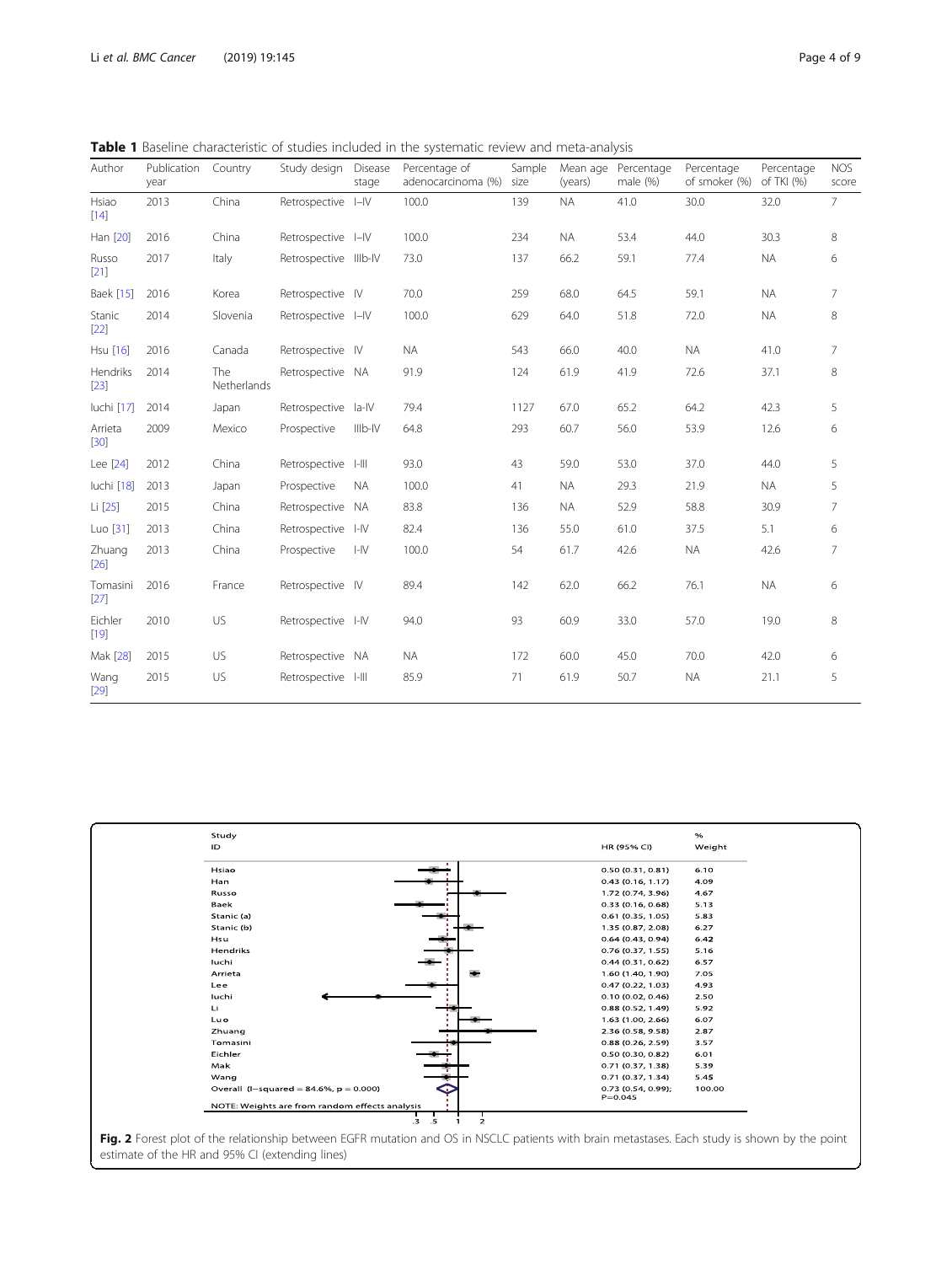<span id="page-3-0"></span>Table 1 Baseline characteristic of studies included in the systematic review and meta-analysis

| Author            | Publication<br>year | Country            | Study design          | Disease<br>stage | Percentage of<br>adenocarcinoma (%) | Sample<br>size | Mean age<br>(years) | Percentage<br>male $(%)$ | Percentage<br>of smoker (%) | Percentage<br>of TKI (%) | <b>NOS</b><br>score |
|-------------------|---------------------|--------------------|-----------------------|------------------|-------------------------------------|----------------|---------------------|--------------------------|-----------------------------|--------------------------|---------------------|
| Hsiao<br>$[14]$   | 2013                | China              | Retrospective I-IV    |                  | 100.0                               | 139            | <b>NA</b>           | 41.0                     | 30.0                        | 32.0                     | $\overline{7}$      |
| Han [20]          | 2016                | China              | Retrospective I-IV    |                  | 100.0                               | 234            | <b>NA</b>           | 53.4                     | 44.0                        | 30.3                     | 8                   |
| Russo<br>$[21]$   | 2017                | Italy              | Retrospective IIIb-IV |                  | 73.0                                | 137            | 66.2                | 59.1                     | 77.4                        | <b>NA</b>                | 6                   |
| <b>Baek [15]</b>  | 2016                | Korea              | Retrospective IV      |                  | 70.0                                | 259            | 68.0                | 64.5                     | 59.1                        | <b>NA</b>                | $\overline{7}$      |
| Stanic<br>$[22]$  | 2014                | Slovenia           | Retrospective I-IV    |                  | 100.0                               | 629            | 64.0                | 51.8                     | 72.0                        | <b>NA</b>                | 8                   |
| Hsu [16]          | 2016                | Canada             | Retrospective IV      |                  | <b>NA</b>                           | 543            | 66.0                | 40.0                     | <b>NA</b>                   | 41.0                     | $\overline{7}$      |
| Hendriks<br>[23]  | 2014                | The<br>Netherlands | Retrospective NA      |                  | 91.9                                | 124            | 61.9                | 41.9                     | 72.6                        | 37.1                     | 8                   |
| luchi [17]        | 2014                | Japan              | Retrospective         | la-IV            | 79.4                                | 1127           | 67.0                | 65.2                     | 64.2                        | 42.3                     | 5                   |
| Arrieta<br>$[30]$ | 2009                | Mexico             | Prospective           | IIIb-IV          | 64.8                                | 293            | 60.7                | 56.0                     | 53.9                        | 12.6                     | 6                   |
| Lee [24]          | 2012                | China              | Retrospective I-III   |                  | 93.0                                | 43             | 59.0                | 53.0                     | 37.0                        | 44.0                     | 5                   |
| luchi [18]        | 2013                | Japan              | Prospective           | <b>NA</b>        | 100.0                               | 41             | <b>NA</b>           | 29.3                     | 21.9                        | <b>NA</b>                | 5                   |
| Li [25]           | 2015                | China              | Retrospective NA      |                  | 83.8                                | 136            | <b>NA</b>           | 52.9                     | 58.8                        | 30.9                     | 7                   |
| Luo [31]          | 2013                | China              | Retrospective I-IV    |                  | 82.4                                | 136            | 55.0                | 61.0                     | 37.5                        | 5.1                      | 6                   |
| Zhuang<br>[26]    | 2013                | China              | Prospective           | H                | 100.0                               | 54             | 61.7                | 42.6                     | <b>NA</b>                   | 42.6                     | 7                   |
| Tomasini<br>[27]  | 2016                | France             | Retrospective IV      |                  | 89.4                                | 142            | 62.0                | 66.2                     | 76.1                        | <b>NA</b>                | 6                   |
| Eichler<br>$[19]$ | 2010                | US                 | Retrospective I-IV    |                  | 94.0                                | 93             | 60.9                | 33.0                     | 57.0                        | 19.0                     | 8                   |
| Mak [28]          | 2015                | <b>US</b>          | Retrospective NA      |                  | <b>NA</b>                           | 172            | 60.0                | 45.0                     | 70.0                        | 42.0                     | 6                   |
| Wang<br>$[29]$    | 2015                | US                 | Retrospective I-III   |                  | 85.9                                | 71             | 61.9                | 50.7                     | <b>NA</b>                   | 21.1                     | 5                   |



Fig. 2 Forest plot of the relationship between EGFR mutation and OS in NSCLC patients with brain metastases. Each study is shown by the point estimate of the HR and 95% CI (extending lines)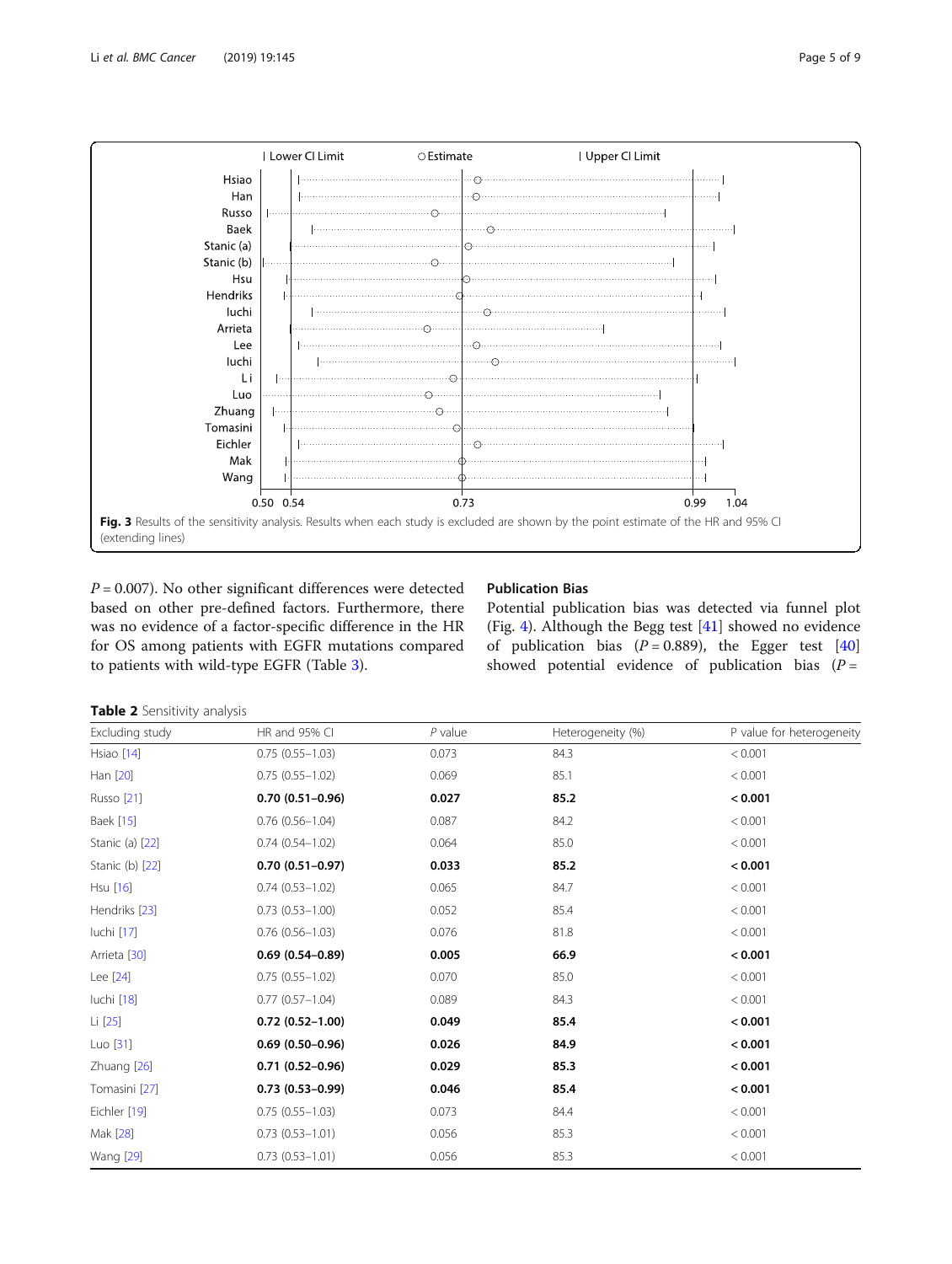<span id="page-4-0"></span>

 $P = 0.007$ ). No other significant differences were detected based on other pre-defined factors. Furthermore, there was no evidence of a factor-specific difference in the HR for OS among patients with EGFR mutations compared to patients with wild-type EGFR (Table [3\)](#page-5-0).

## Publication Bias

Potential publication bias was detected via funnel plot (Fig. [4](#page-6-0)). Although the Begg test [[41\]](#page-8-0) showed no evidence of publication bias  $(P = 0.889)$ , the Egger test [[40](#page-8-0)] showed potential evidence of publication bias  $(P =$ 

Table 2 Sensitivity analysis

| Excluding study  | HR and 95% CI          | $P$ value | Heterogeneity (%) | P value for heterogeneity |
|------------------|------------------------|-----------|-------------------|---------------------------|
| Hsiao [14]       | $0.75(0.55 - 1.03)$    | 0.073     | 84.3              | < 0.001                   |
| Han [20]         | $0.75(0.55 - 1.02)$    | 0.069     | 85.1              | < 0.001                   |
| Russo [21]       | $0.70(0.51 - 0.96)$    | 0.027     | 85.2              | < 0.001                   |
| Baek [15]        | $0.76$ $(0.56 - 1.04)$ | 0.087     | 84.2              | < 0.001                   |
| Stanic (a) [22]  | $0.74(0.54 - 1.02)$    | 0.064     | 85.0              | < 0.001                   |
| Stanic (b) [22]  | $0.70(0.51 - 0.97)$    | 0.033     | 85.2              | < 0.001                   |
| Hsu [16]         | $0.74(0.53 - 1.02)$    | 0.065     | 84.7              | < 0.001                   |
| Hendriks [23]    | $0.73(0.53 - 1.00)$    | 0.052     | 85.4              | < 0.001                   |
| luchi [17]       | $0.76(0.56 - 1.03)$    | 0.076     | 81.8              | < 0.001                   |
| Arrieta [30]     | $0.69(0.54 - 0.89)$    | 0.005     | 66.9              | < 0.001                   |
| Lee [24]         | $0.75(0.55 - 1.02)$    | 0.070     | 85.0              | < 0.001                   |
| luchi [18]       | $0.77(0.57 - 1.04)$    | 0.089     | 84.3              | < 0.001                   |
| Li [25]          | $0.72(0.52 - 1.00)$    | 0.049     | 85.4              | < 0.001                   |
| Luo [31]         | $0.69(0.50 - 0.96)$    | 0.026     | 84.9              | < 0.001                   |
| Zhuang [26]      | $0.71(0.52 - 0.96)$    | 0.029     | 85.3              | < 0.001                   |
| Tomasini [27]    | $0.73(0.53 - 0.99)$    | 0.046     | 85.4              | < 0.001                   |
| Eichler [19]     | $0.75(0.55 - 1.03)$    | 0.073     | 84.4              | < 0.001                   |
| Mak [28]         | $0.73(0.53 - 1.01)$    | 0.056     | 85.3              | < 0.001                   |
| <b>Wang</b> [29] | $0.73(0.53 - 1.01)$    | 0.056     | 85.3              | < 0.001                   |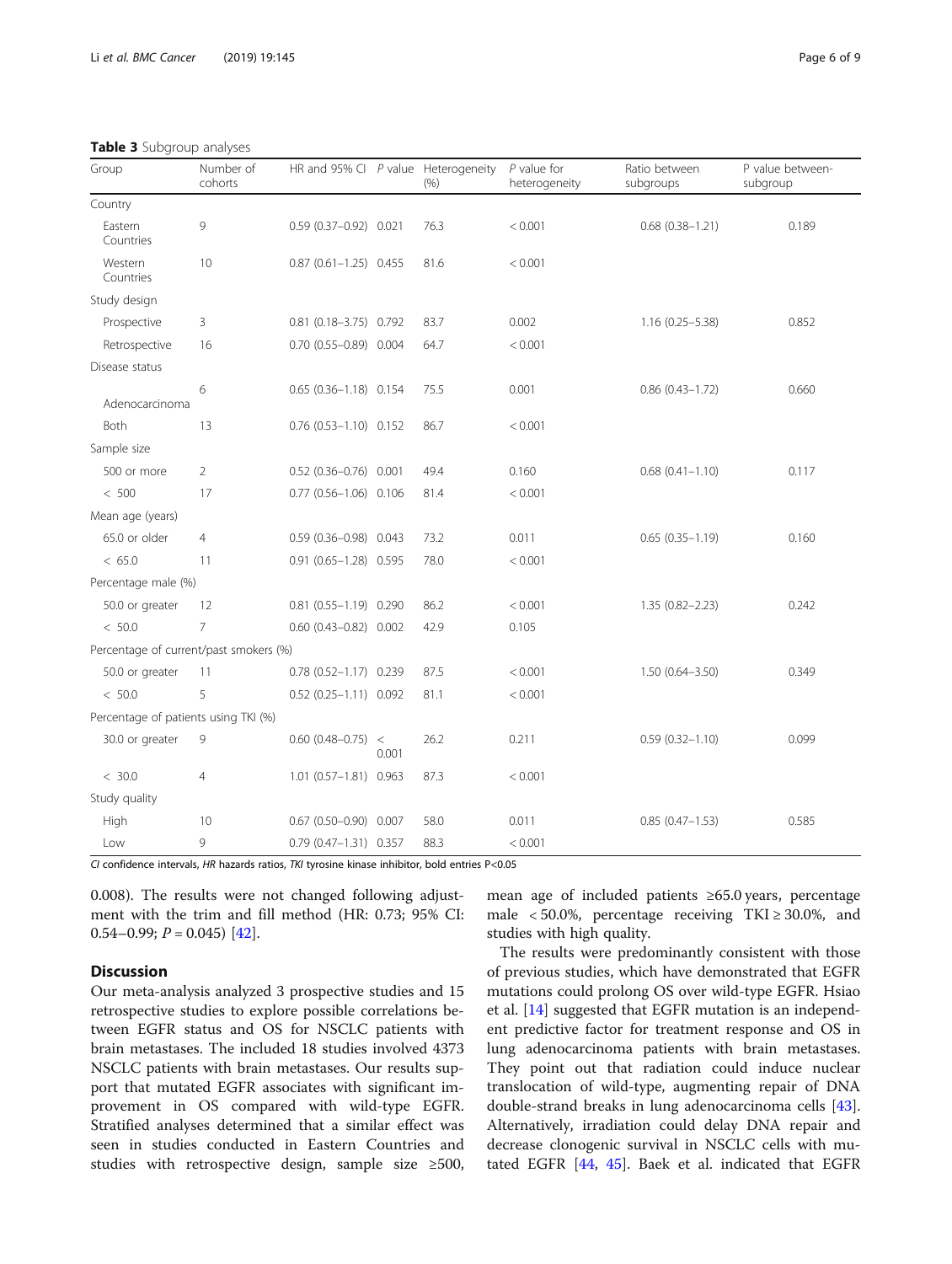<span id="page-5-0"></span>Table 3 Subgroup analyses

| Group                                  | Number of<br>cohorts | HR and 95% CI $P$ value Heterogeneity |       | (96) | $P$ value for<br>heterogeneity | Ratio between<br>subgroups | P value between-<br>subgroup |  |
|----------------------------------------|----------------------|---------------------------------------|-------|------|--------------------------------|----------------------------|------------------------------|--|
| Country                                |                      |                                       |       |      |                                |                            |                              |  |
| Eastern<br>Countries                   | 9                    | $0.59(0.37-0.92)0.021$                |       | 76.3 | < 0.001                        | $0.68$ $(0.38 - 1.21)$     | 0.189                        |  |
| Western<br>Countries                   | 10                   | $0.87$ $(0.61 - 1.25)$ 0.455          |       | 81.6 | < 0.001                        |                            |                              |  |
| Study design                           |                      |                                       |       |      |                                |                            |                              |  |
| Prospective                            | 3                    | $0.81$ (0.18-3.75) $0.792$            |       | 83.7 | 0.002                          | $1.16(0.25 - 5.38)$        | 0.852                        |  |
| Retrospective                          | 16                   | $0.70(0.55 - 0.89)0.004$              |       | 64.7 | < 0.001                        |                            |                              |  |
| Disease status                         |                      |                                       |       |      |                                |                            |                              |  |
| Adenocarcinoma                         | 6                    | $0.65(0.36 - 1.18)0.154$              |       | 75.5 | 0.001                          | $0.86(0.43 - 1.72)$        | 0.660                        |  |
| Both                                   | 13                   | $0.76$ $(0.53-1.10)$ 0.152            |       | 86.7 | < 0.001                        |                            |                              |  |
| Sample size                            |                      |                                       |       |      |                                |                            |                              |  |
| 500 or more                            | $\overline{2}$       | $0.52$ (0.36-0.76) 0.001              |       | 49.4 | 0.160                          | $0.68$ $(0.41 - 1.10)$     | 0.117                        |  |
| < 500                                  | 17                   | $0.77$ $(0.56 - 1.06)$ 0.106          |       | 81.4 | < 0.001                        |                            |                              |  |
| Mean age (years)                       |                      |                                       |       |      |                                |                            |                              |  |
| 65.0 or older                          | $\overline{4}$       | $0.59$ $(0.36 - 0.98)$ 0.043          |       | 73.2 | 0.011                          | $0.65(0.35 - 1.19)$        | 0.160                        |  |
| < 65.0                                 | 11                   | $0.91$ $(0.65 - 1.28)$ 0.595          |       | 78.0 | < 0.001                        |                            |                              |  |
| Percentage male (%)                    |                      |                                       |       |      |                                |                            |                              |  |
| 50.0 or greater                        | 12                   | $0.81$ $(0.55 - 1.19)$ 0.290          |       | 86.2 | < 0.001                        | $1.35(0.82 - 2.23)$        | 0.242                        |  |
| < 50.0                                 | $\overline{7}$       | $0.60$ $(0.43 - 0.82)$ $0.002$        |       | 42.9 | 0.105                          |                            |                              |  |
| Percentage of current/past smokers (%) |                      |                                       |       |      |                                |                            |                              |  |
| 50.0 or greater                        | 11                   | $0.78$ $(0.52 - 1.17)$ 0.239          |       | 87.5 | < 0.001                        | $1.50(0.64 - 3.50)$        | 0.349                        |  |
| < 50.0                                 | 5                    | $0.52$ $(0.25 - 1.11)$ 0.092          |       | 81.1 | < 0.001                        |                            |                              |  |
| Percentage of patients using TKI (%)   |                      |                                       |       |      |                                |                            |                              |  |
| 30.0 or greater                        | 9                    | $0.60$ (0.48-0.75) <                  | 0.001 | 26.2 | 0.211                          | $0.59(0.32 - 1.10)$        | 0.099                        |  |
| < 30.0                                 | 4                    | 1.01 (0.57-1.81) 0.963                |       | 87.3 | < 0.001                        |                            |                              |  |
| Study quality                          |                      |                                       |       |      |                                |                            |                              |  |
| High                                   | 10                   | $0.67$ (0.50-0.90) 0.007              |       | 58.0 | 0.011                          | $0.85(0.47 - 1.53)$        | 0.585                        |  |
| Low                                    | 9                    | $0.79$ $(0.47 - 1.31)$ 0.357          |       | 88.3 | < 0.001                        |                            |                              |  |

CI confidence intervals, HR hazards ratios, TKI tyrosine kinase inhibitor, bold entries P<0.05

0.008). The results were not changed following adjustment with the trim and fill method (HR: 0.73; 95% CI: 0.54–0.99;  $P = 0.045$  [[42](#page-8-0)].

## **Discussion**

Our meta-analysis analyzed 3 prospective studies and 15 retrospective studies to explore possible correlations between EGFR status and OS for NSCLC patients with brain metastases. The included 18 studies involved 4373 NSCLC patients with brain metastases. Our results support that mutated EGFR associates with significant improvement in OS compared with wild-type EGFR. Stratified analyses determined that a similar effect was seen in studies conducted in Eastern Countries and studies with retrospective design, sample size ≥500,

mean age of included patients ≥65.0 years, percentage male < 50.0%, percentage receiving  $TKI \ge 30.0\%$ , and studies with high quality.

The results were predominantly consistent with those of previous studies, which have demonstrated that EGFR mutations could prolong OS over wild-type EGFR. Hsiao et al. [\[14](#page-8-0)] suggested that EGFR mutation is an independent predictive factor for treatment response and OS in lung adenocarcinoma patients with brain metastases. They point out that radiation could induce nuclear translocation of wild-type, augmenting repair of DNA double-strand breaks in lung adenocarcinoma cells [\[43](#page-8-0)]. Alternatively, irradiation could delay DNA repair and decrease clonogenic survival in NSCLC cells with mutated EGFR [\[44](#page-8-0), [45](#page-8-0)]. Baek et al. indicated that EGFR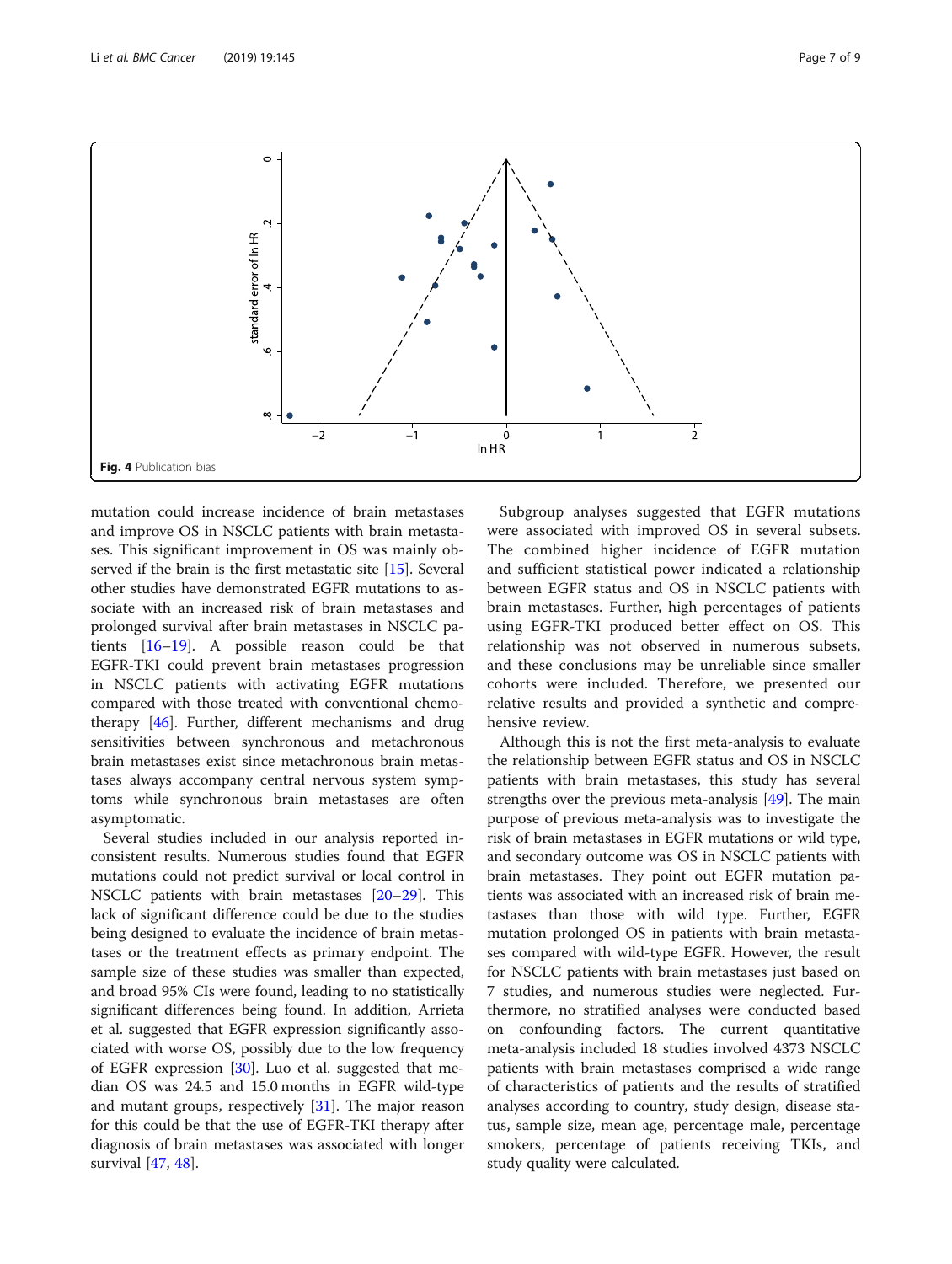<span id="page-6-0"></span>

mutation could increase incidence of brain metastases and improve OS in NSCLC patients with brain metastases. This significant improvement in OS was mainly observed if the brain is the first metastatic site [\[15](#page-8-0)]. Several other studies have demonstrated EGFR mutations to associate with an increased risk of brain metastases and prolonged survival after brain metastases in NSCLC patients [\[16](#page-8-0)–[19\]](#page-8-0). A possible reason could be that EGFR-TKI could prevent brain metastases progression in NSCLC patients with activating EGFR mutations compared with those treated with conventional chemotherapy [\[46\]](#page-8-0). Further, different mechanisms and drug sensitivities between synchronous and metachronous brain metastases exist since metachronous brain metastases always accompany central nervous system symptoms while synchronous brain metastases are often asymptomatic.

Several studies included in our analysis reported inconsistent results. Numerous studies found that EGFR mutations could not predict survival or local control in NSCLC patients with brain metastases [[20](#page-8-0)–[29](#page-8-0)]. This lack of significant difference could be due to the studies being designed to evaluate the incidence of brain metastases or the treatment effects as primary endpoint. The sample size of these studies was smaller than expected, and broad 95% CIs were found, leading to no statistically significant differences being found. In addition, Arrieta et al. suggested that EGFR expression significantly associated with worse OS, possibly due to the low frequency of EGFR expression [[30\]](#page-8-0). Luo et al. suggested that median OS was 24.5 and 15.0 months in EGFR wild-type and mutant groups, respectively [\[31](#page-8-0)]. The major reason for this could be that the use of EGFR-TKI therapy after diagnosis of brain metastases was associated with longer survival [\[47](#page-8-0), [48](#page-8-0)].

Subgroup analyses suggested that EGFR mutations were associated with improved OS in several subsets. The combined higher incidence of EGFR mutation and sufficient statistical power indicated a relationship between EGFR status and OS in NSCLC patients with brain metastases. Further, high percentages of patients using EGFR-TKI produced better effect on OS. This relationship was not observed in numerous subsets, and these conclusions may be unreliable since smaller cohorts were included. Therefore, we presented our relative results and provided a synthetic and comprehensive review.

Although this is not the first meta-analysis to evaluate the relationship between EGFR status and OS in NSCLC patients with brain metastases, this study has several strengths over the previous meta-analysis [[49\]](#page-8-0). The main purpose of previous meta-analysis was to investigate the risk of brain metastases in EGFR mutations or wild type, and secondary outcome was OS in NSCLC patients with brain metastases. They point out EGFR mutation patients was associated with an increased risk of brain metastases than those with wild type. Further, EGFR mutation prolonged OS in patients with brain metastases compared with wild-type EGFR. However, the result for NSCLC patients with brain metastases just based on 7 studies, and numerous studies were neglected. Furthermore, no stratified analyses were conducted based on confounding factors. The current quantitative meta-analysis included 18 studies involved 4373 NSCLC patients with brain metastases comprised a wide range of characteristics of patients and the results of stratified analyses according to country, study design, disease status, sample size, mean age, percentage male, percentage smokers, percentage of patients receiving TKIs, and study quality were calculated.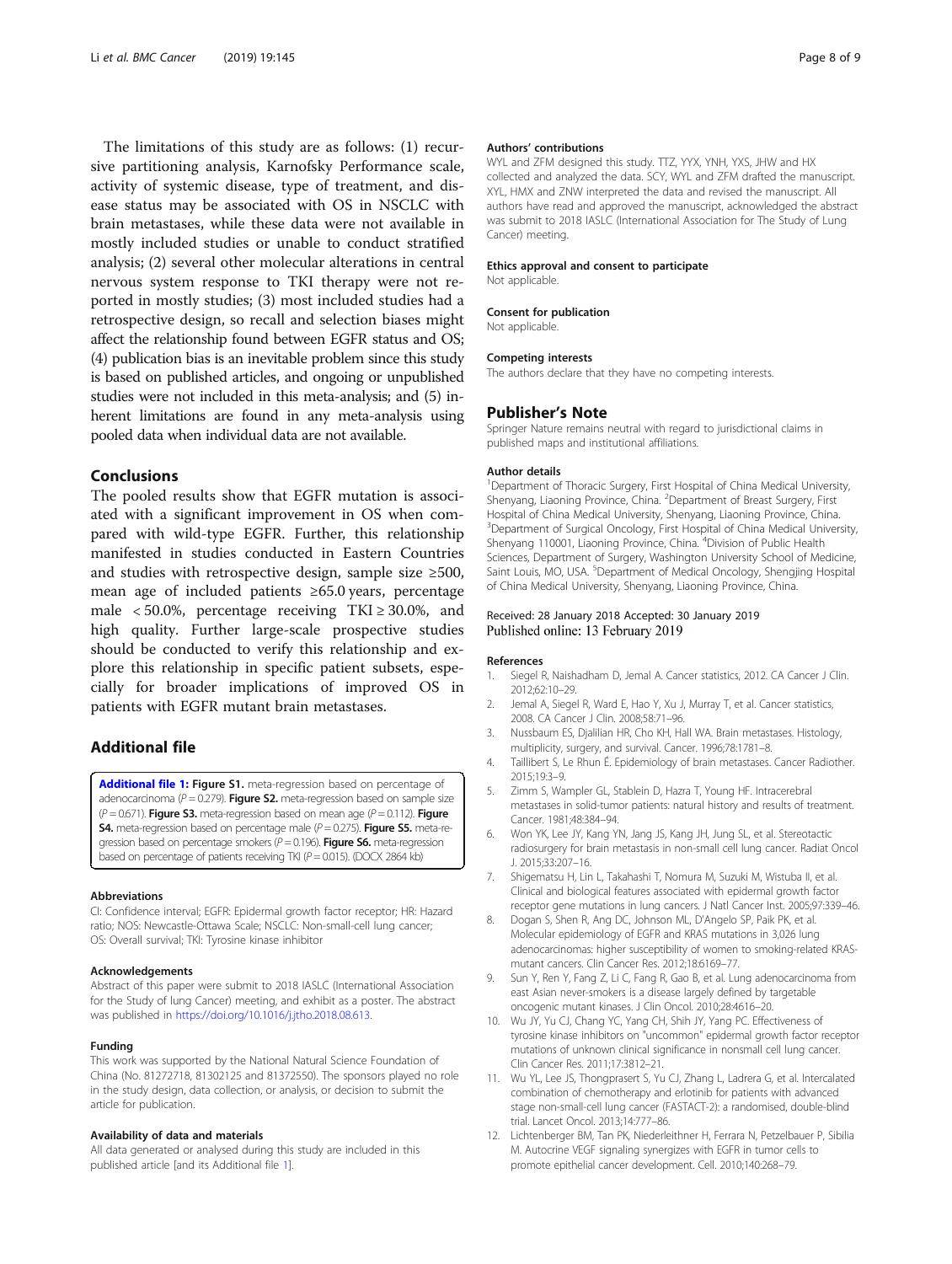<span id="page-7-0"></span>The limitations of this study are as follows: (1) recursive partitioning analysis, Karnofsky Performance scale, activity of systemic disease, type of treatment, and disease status may be associated with OS in NSCLC with brain metastases, while these data were not available in mostly included studies or unable to conduct stratified analysis; (2) several other molecular alterations in central nervous system response to TKI therapy were not reported in mostly studies; (3) most included studies had a retrospective design, so recall and selection biases might affect the relationship found between EGFR status and OS; (4) publication bias is an inevitable problem since this study is based on published articles, and ongoing or unpublished studies were not included in this meta-analysis; and (5) inherent limitations are found in any meta-analysis using pooled data when individual data are not available.

## Conclusions

The pooled results show that EGFR mutation is associated with a significant improvement in OS when compared with wild-type EGFR. Further, this relationship manifested in studies conducted in Eastern Countries and studies with retrospective design, sample size ≥500, mean age of included patients ≥65.0 years, percentage male  $< 50.0\%$ , percentage receiving TKI  $\geq 30.0\%$ , and high quality. Further large-scale prospective studies should be conducted to verify this relationship and explore this relationship in specific patient subsets, especially for broader implications of improved OS in patients with EGFR mutant brain metastases.

## Additional file

[Additional file 1:](https://doi.org/10.1186/s12885-019-5331-z) Figure S1. meta-regression based on percentage of adenocarcinoma ( $P = 0.279$ ). Figure S2. meta-regression based on sample size  $(P = 0.671)$ . Figure S3. meta-regression based on mean age  $(P = 0.112)$ . Figure **S4.** meta-regression based on percentage male ( $P = 0.275$ ). Figure S5. meta-regression based on percentage smokers ( $P = 0.196$ ). Figure S6. meta-regression based on percentage of patients receiving TKI ( $P = 0.015$ ). (DOCX 2864 kb)

#### Abbreviations

CI: Confidence interval; EGFR: Epidermal growth factor receptor; HR: Hazard ratio; NOS: Newcastle-Ottawa Scale; NSCLC: Non-small-cell lung cancer; OS: Overall survival; TKI: Tyrosine kinase inhibitor

#### Acknowledgements

Abstract of this paper were submit to 2018 IASLC (International Association for the Study of lung Cancer) meeting, and exhibit as a poster. The abstract was published in [https://doi.org/10.1016/j.jtho.2018.08.613.](https://doi.org/10.1016/j.jtho.2018.08.613)

#### Funding

This work was supported by the National Natural Science Foundation of China (No. 81272718, 81302125 and 81372550). The sponsors played no role in the study design, data collection, or analysis, or decision to submit the article for publication.

#### Availability of data and materials

All data generated or analysed during this study are included in this published article [and its Additional file 1].

#### Authors' contributions

WYL and ZFM designed this study. TTZ, YYX, YNH, YXS, JHW and HX collected and analyzed the data. SCY, WYL and ZFM drafted the manuscript. XYL, HMX and ZNW interpreted the data and revised the manuscript. All authors have read and approved the manuscript, acknowledged the abstract was submit to 2018 IASLC (International Association for The Study of Lung Cancer) meeting.

#### Ethics approval and consent to participate

Consent for publication

Not applicable.

Not applicable.

#### Competing interests

The authors declare that they have no competing interests.

#### Publisher's Note

Springer Nature remains neutral with regard to jurisdictional claims in published maps and institutional affiliations.

#### Author details

<sup>1</sup>Department of Thoracic Surgery, First Hospital of China Medical University Shenyang, Liaoning Province, China. <sup>2</sup>Department of Breast Surgery, First Hospital of China Medical University, Shenyang, Liaoning Province, China. <sup>3</sup> Department of Surgical Oncology, First Hospital of China Medical University, Shenyang 110001, Liaoning Province, China. <sup>4</sup> Division of Public Health Sciences, Department of Surgery, Washington University School of Medicine, Saint Louis, MO, USA. <sup>5</sup>Department of Medical Oncology, Shengjing Hospital of China Medical University, Shenyang, Liaoning Province, China.

#### Received: 28 January 2018 Accepted: 30 January 2019 Published online: 13 February 2019

#### References

- 1. Siegel R, Naishadham D, Jemal A. Cancer statistics, 2012. CA Cancer J Clin. 2012;62:10–29.
- 2. Jemal A, Siegel R, Ward E, Hao Y, Xu J, Murray T, et al. Cancer statistics, 2008. CA Cancer J Clin. 2008;58:71–96.
- 3. Nussbaum ES, Djalilian HR, Cho KH, Hall WA. Brain metastases. Histology, multiplicity, surgery, and survival. Cancer. 1996;78:1781–8.
- 4. Taillibert S, Le Rhun É. Epidemiology of brain metastases. Cancer Radiother. 2015;19:3–9.
- 5. Zimm S, Wampler GL, Stablein D, Hazra T, Young HF. Intracerebral metastases in solid-tumor patients: natural history and results of treatment. Cancer. 1981;48:384–94.
- 6. Won YK, Lee JY, Kang YN, Jang JS, Kang JH, Jung SL, et al. Stereotactic radiosurgery for brain metastasis in non-small cell lung cancer. Radiat Oncol J. 2015;33:207–16.
- 7. Shigematsu H, Lin L, Takahashi T, Nomura M, Suzuki M, Wistuba II, et al. Clinical and biological features associated with epidermal growth factor receptor gene mutations in lung cancers. J Natl Cancer Inst. 2005;97:339–46.
- 8. Dogan S, Shen R, Ang DC, Johnson ML, D'Angelo SP, Paik PK, et al. Molecular epidemiology of EGFR and KRAS mutations in 3,026 lung adenocarcinomas: higher susceptibility of women to smoking-related KRASmutant cancers. Clin Cancer Res. 2012;18:6169–77.
- 9. Sun Y, Ren Y, Fang Z, Li C, Fang R, Gao B, et al. Lung adenocarcinoma from east Asian never-smokers is a disease largely defined by targetable oncogenic mutant kinases. J Clin Oncol. 2010;28:4616–20.
- 10. Wu JY, Yu CJ, Chang YC, Yang CH, Shih JY, Yang PC. Effectiveness of tyrosine kinase inhibitors on "uncommon" epidermal growth factor receptor mutations of unknown clinical significance in nonsmall cell lung cancer. Clin Cancer Res. 2011;17:3812–21.
- 11. Wu YL, Lee JS, Thongprasert S, Yu CJ, Zhang L, Ladrera G, et al. Intercalated combination of chemotherapy and erlotinib for patients with advanced stage non-small-cell lung cancer (FASTACT-2): a randomised, double-blind trial. Lancet Oncol. 2013;14:777–86.
- 12. Lichtenberger BM, Tan PK, Niederleithner H, Ferrara N, Petzelbauer P, Sibilia M. Autocrine VEGF signaling synergizes with EGFR in tumor cells to promote epithelial cancer development. Cell. 2010;140:268–79.